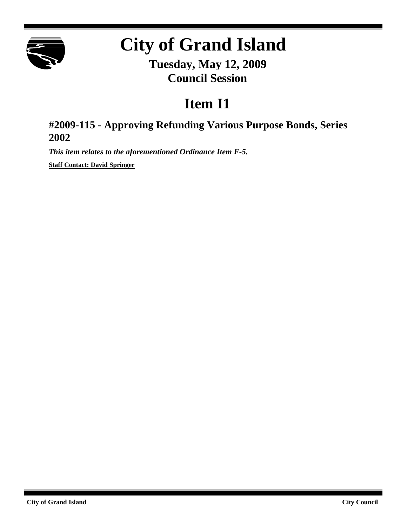

## **City of Grand Island**

**Tuesday, May 12, 2009 Council Session**

## **Item I1**

## **#2009-115 - Approving Refunding Various Purpose Bonds, Series 2002**

*This item relates to the aforementioned Ordinance Item F-5.*

**Staff Contact: David Springer**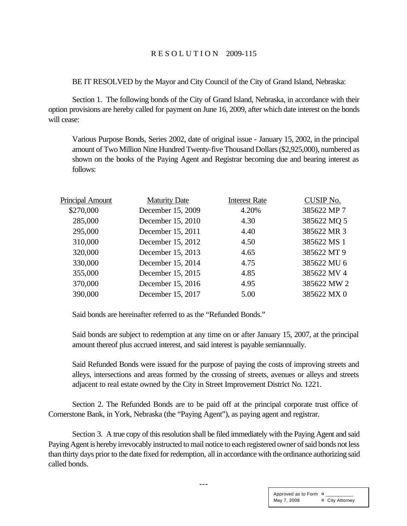BE IT RESOLVED by the Mayor and City Council of the City of Grand Island, Nebraska:

Section 1. The following bonds of the City of Grand Island, Nebraska, in accordance with their option provisions are hereby called for payment on June 16, 2009, after which date interest on the bonds will cease:

Various Purpose Bonds, Series 2002, date of original issue - January 15, 2002, in the principal amount of Two Million Nine Hundred Twenty-five Thousand Dollars (\$2,925,000), numbered as shown on the books of the Paying Agent and Registrar becoming due and bearing interest as follows:

| <b>Principal Amount</b> | <b>Maturity Date</b> | <b>Interest Rate</b> | <b>CUSIP No.</b> |
|-------------------------|----------------------|----------------------|------------------|
| \$270,000               | December 15, 2009    | 4.20%                | 385622 MP 7      |
| 285,000                 | December 15, 2010    | 4.30                 | 385622 MQ 5      |
| 295,000                 | December 15, 2011    | 4.40                 | 385622 MR 3      |
| 310,000                 | December 15, 2012    | 4.50                 | 385622 MS 1      |
| 320,000                 | December 15, 2013    | 4.65                 | 385622 MT 9      |
| 330,000                 | December 15, 2014    | 4.75                 | 385622 MU 6      |
| 355,000                 | December 15, 2015    | 4.85                 | 385622 MV 4      |
| 370,000                 | December 15, 2016    | 4.95                 | 385622 MW 2      |
| 390,000                 | December 15, 2017    | 5.00                 | 385622 MX 0      |

Said bonds are hereinafter referred to as the "Refunded Bonds."

Said bonds are subject to redemption at any time on or after January 15, 2007, at the principal amount thereof plus accrued interest, and said interest is payable semiannually.

Said Refunded Bonds were issued for the purpose of paying the costs of improving streets and alleys, intersections and areas formed by the crossing of streets, avenues or alleys and streets adjacent to real estate owned by the City in Street Improvement District No. 1221.

Section 2. The Refunded Bonds are to be paid off at the principal corporate trust office of Cornerstone Bank, in York, Nebraska (the "Paying Agent"), as paying agent and registrar.

Section 3. A true copy of this resolution shall be filed immediately with the Paying Agent and said Paying Agent is hereby irrevocably instructed to mail notice to each registered owner of said bonds not less than thirty days prior to the date fixed for redemption, all in accordance with the ordinance authorizing said called bonds.